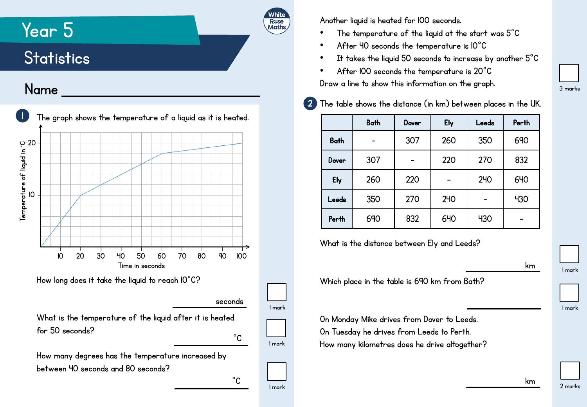## Year 5

## **Statistics**

## Name



Another liquid is heated for 100 seconds.

R**ose**<br>Maths

- The temperature of the liquid at the start was  $5^{\circ}$ C
- After 40 seconds the temperature is 10°C
- It takes the liquid 50 seconds to increase by another  $5^{\circ}$ C
- After 100 seconds the temperature is 20°C Draw a line to show this information on the graph.

| $2$ ) The table shows the distance (in km) between places in the UK. |  |
|----------------------------------------------------------------------|--|

|             | <b>Bath</b> | Dover | Ely        | Leeds | Perth      |
|-------------|-------------|-------|------------|-------|------------|
| <b>Bath</b> |             | 307   | 260        | 350   | 690        |
| Dover       | 307         |       | 220        | 270   | 832        |
| Ely         | 260         | 220   |            | 240   | <b>640</b> |
| Leeds       | 350         | 270   | 240        |       | 430        |
| Perth       | 690         | 832   | <b>640</b> | 430   |            |

What is the distance between Ely and Leeds?

Which place in the table is 690 km from Bath?

On Monday Mike drives from Dover to Leeds. On Tuesday he drives from Leeds to Perth. How many kilometres does he drive altogether? 1 mark

km

km

3 marks

1 mark

2 marks